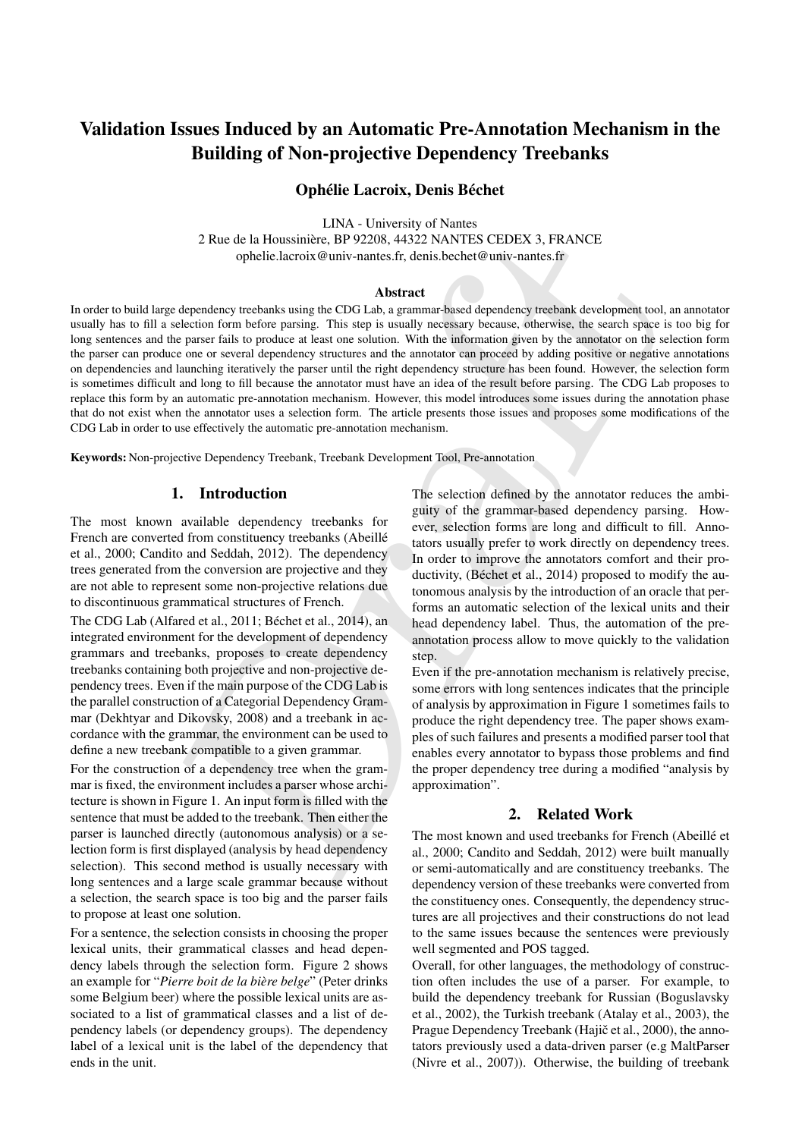# Validation Issues Induced by an Automatic Pre-Annotation Mechanism in the Building of Non-projective Dependency Treebanks

# Ophélie Lacroix, Denis Béchet

LINA - University of Nantes 2 Rue de la Houssiniere, BP 92208, 44322 NANTES CEDEX 3, FRANCE ` ophelie.lacroix@univ-nantes.fr, denis.bechet@univ-nantes.fr

#### **Abstract**

2 Rue de la Houssinière. De P2208, 44322 NAWIES CEDEX 3, FRANCE<br>
ophelie lacroix <sup>de</sup>nuiv-nanies.fr. denis beehet<sup>ie</sup> univ-nanies.fr<br>
ophelie lacroix <sup>de</sup>nuiv-nanies.fr. denis beehet<sup>ie</sup> univ-nanies.fr<br>
ophelie lacroix <sup>d</sup> In order to build large dependency treebanks using the CDG Lab, a grammar-based dependency treebank development tool, an annotator usually has to fill a selection form before parsing. This step is usually necessary because, otherwise, the search space is too big for long sentences and the parser fails to produce at least one solution. With the information given by the annotator on the selection form the parser can produce one or several dependency structures and the annotator can proceed by adding positive or negative annotations on dependencies and launching iteratively the parser until the right dependency structure has been found. However, the selection form is sometimes difficult and long to fill because the annotator must have an idea of the result before parsing. The CDG Lab proposes to replace this form by an automatic pre-annotation mechanism. However, this model introduces some issues during the annotation phase that do not exist when the annotator uses a selection form. The article presents those issues and proposes some modifications of the CDG Lab in order to use effectively the automatic pre-annotation mechanism.

Keywords: Non-projective Dependency Treebank, Treebank Development Tool, Pre-annotation

## 1. Introduction

The most known available dependency treebanks for French are converted from constituency treebanks (Abeillé et al., 2000; Candito and Seddah, 2012). The dependency trees generated from the conversion are projective and they are not able to represent some non-projective relations due to discontinuous grammatical structures of French.

The CDG Lab (Alfared et al., 2011; Béchet et al., 2014), an integrated environment for the development of dependency grammars and treebanks, proposes to create dependency treebanks containing both projective and non-projective dependency trees. Even if the main purpose of the CDG Lab is the parallel construction of a Categorial Dependency Grammar (Dekhtyar and Dikovsky, 2008) and a treebank in accordance with the grammar, the environment can be used to define a new treebank compatible to a given grammar.

For the construction of a dependency tree when the grammar is fixed, the environment includes a parser whose architecture is shown in Figure 1. An input form is filled with the sentence that must be added to the treebank. Then either the parser is launched directly (autonomous analysis) or a selection form is first displayed (analysis by head dependency selection). This second method is usually necessary with long sentences and a large scale grammar because without a selection, the search space is too big and the parser fails to propose at least one solution.

For a sentence, the selection consists in choosing the proper lexical units, their grammatical classes and head dependency labels through the selection form. Figure 2 shows an example for "*Pierre boit de la bière belge*" (Peter drinks some Belgium beer) where the possible lexical units are associated to a list of grammatical classes and a list of dependency labels (or dependency groups). The dependency label of a lexical unit is the label of the dependency that ends in the unit.

The selection defined by the annotator reduces the ambiguity of the grammar-based dependency parsing. However, selection forms are long and difficult to fill. Annotators usually prefer to work directly on dependency trees. In order to improve the annotators comfort and their productivity, (Béchet et al., 2014) proposed to modify the autonomous analysis by the introduction of an oracle that performs an automatic selection of the lexical units and their head dependency label. Thus, the automation of the preannotation process allow to move quickly to the validation step.

Even if the pre-annotation mechanism is relatively precise, some errors with long sentences indicates that the principle of analysis by approximation in Figure 1 sometimes fails to produce the right dependency tree. The paper shows examples of such failures and presents a modified parser tool that enables every annotator to bypass those problems and find the proper dependency tree during a modified "analysis by approximation".

## 2. Related Work

The most known and used treebanks for French (Abeillé et al., 2000; Candito and Seddah, 2012) were built manually or semi-automatically and are constituency treebanks. The dependency version of these treebanks were converted from the constituency ones. Consequently, the dependency structures are all projectives and their constructions do not lead to the same issues because the sentences were previously well segmented and POS tagged.

Overall, for other languages, the methodology of construction often includes the use of a parser. For example, to build the dependency treebank for Russian (Boguslavsky et al., 2002), the Turkish treebank (Atalay et al., 2003), the Prague Dependency Treebank (Hajič et al., 2000), the annotators previously used a data-driven parser (e.g MaltParser (Nivre et al., 2007)). Otherwise, the building of treebank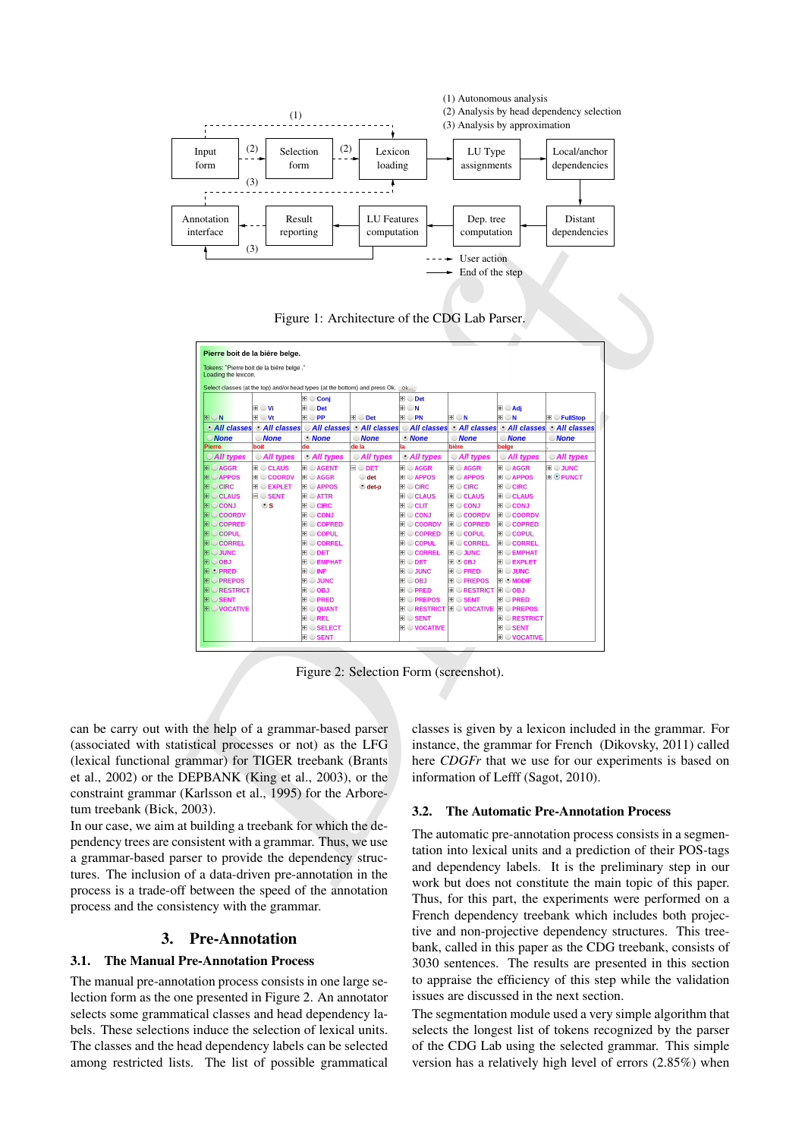

Figure 1: Architecture of the CDG Lab Parser.

| interface                                                                            | reporting                                                                      |                                                                | computation                          |                                                             | computation                                         |                                               | dependencies                                      |  |  |
|--------------------------------------------------------------------------------------|--------------------------------------------------------------------------------|----------------------------------------------------------------|--------------------------------------|-------------------------------------------------------------|-----------------------------------------------------|-----------------------------------------------|---------------------------------------------------|--|--|
|                                                                                      | (3)                                                                            |                                                                |                                      |                                                             | User action                                         |                                               |                                                   |  |  |
|                                                                                      |                                                                                |                                                                |                                      |                                                             | End of the step                                     |                                               |                                                   |  |  |
|                                                                                      |                                                                                |                                                                |                                      |                                                             |                                                     |                                               |                                                   |  |  |
|                                                                                      |                                                                                |                                                                |                                      |                                                             |                                                     |                                               |                                                   |  |  |
|                                                                                      |                                                                                | Figure 1: Architecture of the CDG Lab Parser.                  |                                      |                                                             |                                                     |                                               |                                                   |  |  |
|                                                                                      |                                                                                |                                                                |                                      |                                                             |                                                     |                                               |                                                   |  |  |
|                                                                                      | Pierre boit de la bière belge.                                                 |                                                                |                                      |                                                             |                                                     |                                               |                                                   |  |  |
| Loading the lexicon.                                                                 | Tokens: "Pierre boit de la bière belge."                                       |                                                                |                                      |                                                             |                                                     |                                               |                                                   |  |  |
|                                                                                      | Select classes (at the top) and/or head types (at the bottom) and press Ok. Ok |                                                                |                                      |                                                             |                                                     |                                               |                                                   |  |  |
|                                                                                      |                                                                                | ⊞ Conj                                                         |                                      | E Det                                                       |                                                     |                                               |                                                   |  |  |
| ⊕∪n                                                                                  | ⊕∪Vi<br>⊞ ∪Vt                                                                  | <b>E</b> Det<br>$\mathbb{H} \cup \mathsf{PP}$                  | <b>E</b> Det                         | $E \cup N$<br>⊞∪PN                                          | ⊞∪N                                                 | H Adj<br>$\mathbb{H} \cup \mathsf{N}$         | <b>E</b> FullStop                                 |  |  |
|                                                                                      | <b>O All classes O All classes</b>                                             | All classes                                                    | <b>All classes</b>                   |                                                             |                                                     | <b>OAII classes OAII classes OAII classes</b> | <b>All classes</b>                                |  |  |
| <b>None</b><br>Pierre                                                                | <b>None</b>                                                                    | $•$ None                                                       | <b>None</b><br>de la                 | <b><i>•None</i></b>                                         | <b>None</b><br>bière                                | <b>None</b><br>belge                          | <b>None</b>                                       |  |  |
| <i>All types</i>                                                                     | All types                                                                      | All types                                                      | All types                            | All types                                                   | All types                                           | All types                                     | All types                                         |  |  |
| $\overline{E}$ $\cup$ AGGR<br><b>E</b> APPOS                                         | <b>E</b> CLAUS<br><b>E</b> COORDV                                              | <b>E</b> AGENT<br><b>E AGGR</b>                                | $\boxminus$ $\cup$ det<br>$\cup$ det | <b>E</b> AGGR<br><b>E</b> APPOS                             | <b>E</b> AGGR<br><b>E</b> APPOS                     | <b>E</b> AGGR<br><b>E</b> APPOS               | <b>E</b> JUNC<br><b>EI</b> OPUNCT                 |  |  |
| <b>FIOCIRC</b>                                                                       | <b>E EXPLET</b>                                                                | <b>E</b> APPOS                                                 | $\bullet$ det-p                      | <b>E</b> CIRC                                               | <b>E</b> CIRC                                       | <b>E</b> CIRC                                 |                                                   |  |  |
| <b>E</b> CLAUS<br><b>E</b> CONJ                                                      | $\blacksquare$ SENT<br>$\bullet$ s                                             | <b>BOATTR</b><br>$E \cup C$ IRC                                |                                      | <b>E</b> CLAUS<br><b>E</b> CLIT                             | <b>E</b> CLAUS<br><b>E</b> CONJ                     | <b>E</b> CLAUS<br>E CONJ                      |                                                   |  |  |
| <b>E COORDV</b><br><b>E</b> COPRED                                                   |                                                                                | <b>E</b> CONJ<br><b>E</b> COPRED                               |                                      | <b>E</b> CONJ<br><b>E</b> COORDV                            | <b>E</b> COORDV<br><b>E</b> COPRED                  | <b>E</b> COORDV<br><b>E</b> COPRED            |                                                   |  |  |
| <b>E</b> COPUL                                                                       |                                                                                | <b>E</b> COPUL                                                 |                                      | <b>E</b> COPRED                                             | <b>E</b> COPUL                                      | <b>E</b> COPUL                                |                                                   |  |  |
| <b>ENCORREL</b><br><b>EI</b> $\cup$ JUNC                                             |                                                                                | <b>E</b> CORREL<br><b>E</b> ODET                               |                                      | <b>E</b> COPUL<br><b>E</b> CORREL                           | <b>E</b> CORREL<br><b>E</b> JUNC                    | <b>E</b> CORREL<br>$\mathbb{H} \cup$ EMPHAT   |                                                   |  |  |
| <b>E</b> OBJ                                                                         |                                                                                | <b>E</b> EMPHAT                                                |                                      | <b>E</b> DET                                                | <b>E</b> OBJ                                        | <b>E</b> EXPLET                               |                                                   |  |  |
| <b>E</b> OPRED<br><b>E</b> PREPOS                                                    |                                                                                | $\blacksquare$ $\blacksquare$ $\blacksquare$<br><b>EI</b> JUNC |                                      | <b>E</b> JUNC<br>E OBJ                                      | <b>E</b> PRED<br><b>E</b> PREPOS                    | <b>E</b> JUNC<br>E MODIF                      |                                                   |  |  |
| <b>ENCRESTRICT</b>                                                                   |                                                                                | $\blacksquare$ $\bigcirc$ OBJ                                  |                                      | <b>E</b> PRED                                               | <b>E RESTRICT E OBJ</b>                             |                                               |                                                   |  |  |
| $\textcolor{red}{\mathbf{E}} \mathbin{\mathbb{C}}$ sent<br><b>EN OVOCATIVE</b>       |                                                                                | <b>E</b> PRED<br><b>E</b> OUANT                                |                                      | <b>E</b> PREPOS<br><b>E CRESTRICT E CVOCATIVE E CPREPOS</b> | <b>E SENT</b>                                       | <b>E</b> PRED                                 |                                                   |  |  |
|                                                                                      |                                                                                | <b>E REL</b>                                                   |                                      | <b>E SENT</b>                                               |                                                     | <b>E RESTRICT</b>                             |                                                   |  |  |
|                                                                                      |                                                                                | <b>E SELECT</b><br><b>E</b> SENT                               |                                      | <b>E</b> VOCATIVE                                           |                                                     | <b>E</b> SENT<br><b>E VOCATIVE</b>            |                                                   |  |  |
|                                                                                      |                                                                                |                                                                |                                      |                                                             |                                                     |                                               |                                                   |  |  |
|                                                                                      |                                                                                | Figure 2: Selection Form (screenshot).                         |                                      |                                                             |                                                     |                                               |                                                   |  |  |
|                                                                                      |                                                                                |                                                                |                                      |                                                             |                                                     |                                               |                                                   |  |  |
|                                                                                      |                                                                                |                                                                |                                      |                                                             |                                                     |                                               |                                                   |  |  |
|                                                                                      |                                                                                |                                                                |                                      |                                                             |                                                     |                                               |                                                   |  |  |
|                                                                                      | with the help of a grammar-based parser                                        |                                                                |                                      |                                                             |                                                     |                                               | classes is given by a lexicon included in the gra |  |  |
|                                                                                      | statistical processes or not) as the LFG                                       |                                                                |                                      |                                                             |                                                     |                                               | instance, the grammar for French (Dikovsky, 20    |  |  |
|                                                                                      | 1 grammar) for TIGER treebank (Brants                                          |                                                                |                                      | here CDGFr that we use for our experiments i                |                                                     |                                               |                                                   |  |  |
|                                                                                      | e DEPBANK (King et al., 2003), or the                                          |                                                                |                                      |                                                             |                                                     |                                               | information of Lefff (Sagot, 2010).               |  |  |
|                                                                                      | ar (Karlsson et al., 1995) for the Arbore-                                     |                                                                |                                      |                                                             |                                                     |                                               |                                                   |  |  |
| $k, 2003$ .                                                                          |                                                                                |                                                                |                                      |                                                             |                                                     |                                               | <b>The Automatic Pre-Annotation Process</b>       |  |  |
|                                                                                      |                                                                                |                                                                |                                      | 3.2.                                                        |                                                     |                                               |                                                   |  |  |
|                                                                                      | m at building a treebank for which the de-                                     |                                                                |                                      |                                                             |                                                     |                                               | The automatic pre-annotation process consists in  |  |  |
| e consistent with a grammar. Thus, we use<br>parser to provide the dependency struc- |                                                                                |                                                                |                                      |                                                             | tation into lexical units and a prediction of their |                                               |                                                   |  |  |
|                                                                                      |                                                                                |                                                                |                                      |                                                             |                                                     |                                               | and dependency labels. It is the preliminary s    |  |  |
|                                                                                      | on of a data-driven pre-annotation in the                                      |                                                                |                                      |                                                             |                                                     |                                               | work but does not constitute the main topic of    |  |  |
|                                                                                      | a CC batter can the second of the second contracts                             |                                                                |                                      |                                                             |                                                     |                                               |                                                   |  |  |

Figure 2: Selection Form (screenshot).

can be carry out with the help of a grammar-based parser (associated with statistical processes or not) as the LFG (lexical functional grammar) for TIGER treebank (Brants et al., 2002) or the DEPBANK (King et al., 2003), or the constraint grammar (Karlsson et al., 1995) for the Arboretum treebank (Bick, 2003).

In our case, we aim at building a treebank for which the dependency trees are consistent with a grammar. Thus, we use a grammar-based parser to provide the dependency structures. The inclusion of a data-driven pre-annotation in the process is a trade-off between the speed of the annotation process and the consistency with the grammar.

# 3. Pre-Annotation

## 3.1. The Manual Pre-Annotation Process

The manual pre-annotation process consists in one large selection form as the one presented in Figure 2. An annotator selects some grammatical classes and head dependency labels. These selections induce the selection of lexical units. The classes and the head dependency labels can be selected among restricted lists. The list of possible grammatical

classes is given by a lexicon included in the grammar. For instance, the grammar for French (Dikovsky, 2011) called here *CDGFr* that we use for our experiments is based on information of Lefff (Sagot, 2010).

## 3.2. The Automatic Pre-Annotation Process

The automatic pre-annotation process consists in a segmentation into lexical units and a prediction of their POS-tags and dependency labels. It is the preliminary step in our work but does not constitute the main topic of this paper. Thus, for this part, the experiments were performed on a French dependency treebank which includes both projective and non-projective dependency structures. This treebank, called in this paper as the CDG treebank, consists of 3030 sentences. The results are presented in this section to appraise the efficiency of this step while the validation issues are discussed in the next section.

The segmentation module used a very simple algorithm that selects the longest list of tokens recognized by the parser of the CDG Lab using the selected grammar. This simple version has a relatively high level of errors (2.85%) when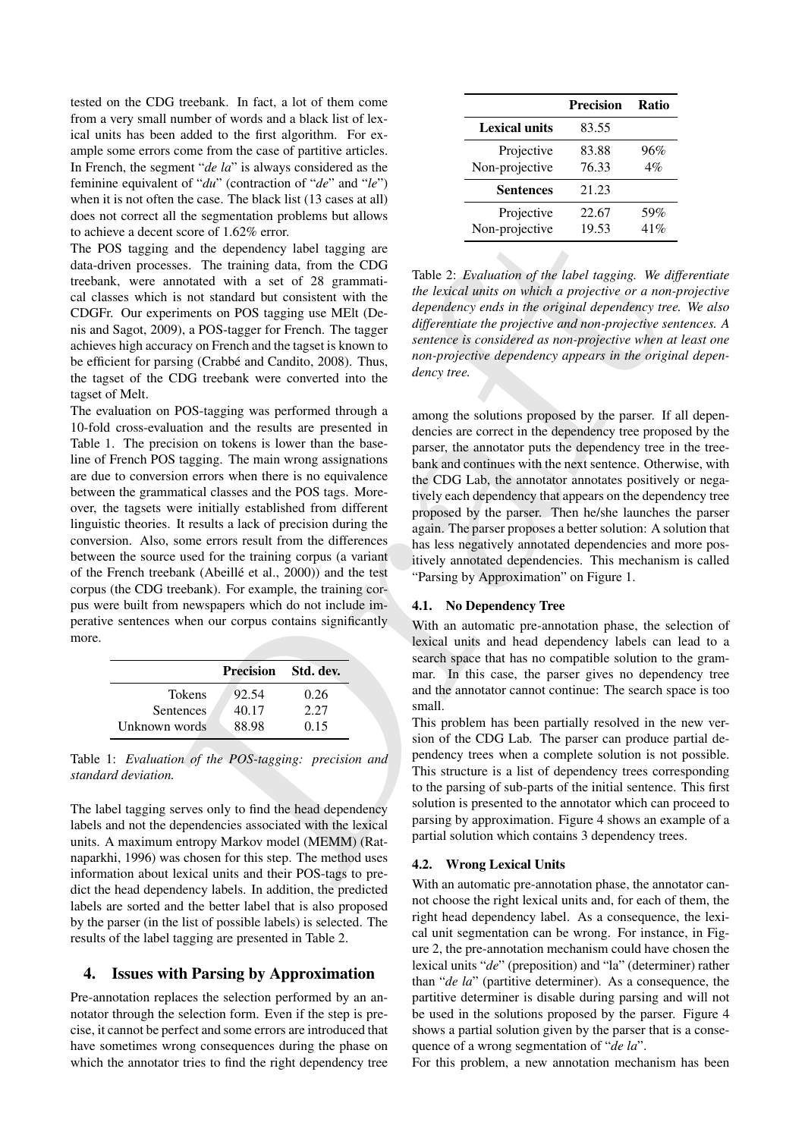tested on the CDG treebank. In fact, a lot of them come from a very small number of words and a black list of lexical units has been added to the first algorithm. For example some errors come from the case of partitive articles. In French, the segment "*de la*" is always considered as the feminine equivalent of "*du*" (contraction of "*de*" and "*le*") when it is not often the case. The black list (13 cases at all) does not correct all the segmentation problems but allows to achieve a decent score of 1.62% error.

The POS tagging and the dependency label tagging are data-driven processes. The training data, from the CDG treebank, were annotated with a set of 28 grammatical classes which is not standard but consistent with the CDGFr. Our experiments on POS tagging use MElt (Denis and Sagot, 2009), a POS-tagger for French. The tagger achieves high accuracy on French and the tagset is known to be efficient for parsing (Crabbé and Candito, 2008). Thus, the tagset of the CDG treebank were converted into the tagset of Melt.

steen of 1.625-error.<br>
at some to the speed to the speed to the speed to the training data, from projective in the Cabinary We due to the control more and the leader of a non-projective of a non-projective of a non-projec The evaluation on POS-tagging was performed through a 10-fold cross-evaluation and the results are presented in Table 1. The precision on tokens is lower than the baseline of French POS tagging. The main wrong assignations are due to conversion errors when there is no equivalence between the grammatical classes and the POS tags. Moreover, the tagsets were initially established from different linguistic theories. It results a lack of precision during the conversion. Also, some errors result from the differences between the source used for the training corpus (a variant of the French treebank (Abeillé et al., 2000)) and the test corpus (the CDG treebank). For example, the training corpus were built from newspapers which do not include imperative sentences when our corpus contains significantly more.

|               | <b>Precision</b> Std. dev. |      |  |
|---------------|----------------------------|------|--|
| <b>Tokens</b> | 92.54                      | 0.26 |  |
| Sentences     | 40.17                      | 2.27 |  |
| Unknown words | 88.98                      | 0.15 |  |
|               |                            |      |  |

Table 1: *Evaluation of the POS-tagging: precision and standard deviation.*

The label tagging serves only to find the head dependency labels and not the dependencies associated with the lexical units. A maximum entropy Markov model (MEMM) (Ratnaparkhi, 1996) was chosen for this step. The method uses information about lexical units and their POS-tags to predict the head dependency labels. In addition, the predicted labels are sorted and the better label that is also proposed by the parser (in the list of possible labels) is selected. The results of the label tagging are presented in Table 2.

# 4. Issues with Parsing by Approximation

Pre-annotation replaces the selection performed by an annotator through the selection form. Even if the step is precise, it cannot be perfect and some errors are introduced that have sometimes wrong consequences during the phase on which the annotator tries to find the right dependency tree

|                              | <b>Precision</b> | <b>Ratio</b> |
|------------------------------|------------------|--------------|
| Lexical units                | 83.55            |              |
| Projective<br>Non-projective | 83.88<br>76.33   | 96%<br>4%    |
| <b>Sentences</b>             | 21.23            |              |
| Projective<br>Non-projective | 22.67<br>19.53   | 59%<br>41%   |

Table 2: *Evaluation of the label tagging. We differentiate the lexical units on which a projective or a non-projective dependency ends in the original dependency tree. We also differentiate the projective and non-projective sentences. A sentence is considered as non-projective when at least one non-projective dependency appears in the original dependency tree.*

among the solutions proposed by the parser. If all dependencies are correct in the dependency tree proposed by the parser, the annotator puts the dependency tree in the treebank and continues with the next sentence. Otherwise, with the CDG Lab, the annotator annotates positively or negatively each dependency that appears on the dependency tree proposed by the parser. Then he/she launches the parser again. The parser proposes a better solution: A solution that has less negatively annotated dependencies and more positively annotated dependencies. This mechanism is called "Parsing by Approximation" on Figure 1.

## 4.1. No Dependency Tree

With an automatic pre-annotation phase, the selection of lexical units and head dependency labels can lead to a search space that has no compatible solution to the grammar. In this case, the parser gives no dependency tree and the annotator cannot continue: The search space is too small.

This problem has been partially resolved in the new version of the CDG Lab. The parser can produce partial dependency trees when a complete solution is not possible. This structure is a list of dependency trees corresponding to the parsing of sub-parts of the initial sentence. This first solution is presented to the annotator which can proceed to parsing by approximation. Figure 4 shows an example of a partial solution which contains 3 dependency trees.

#### 4.2. Wrong Lexical Units

With an automatic pre-annotation phase, the annotator cannot choose the right lexical units and, for each of them, the right head dependency label. As a consequence, the lexical unit segmentation can be wrong. For instance, in Figure 2, the pre-annotation mechanism could have chosen the lexical units "*de*" (preposition) and "la" (determiner) rather than "*de la*" (partitive determiner). As a consequence, the partitive determiner is disable during parsing and will not be used in the solutions proposed by the parser. Figure 4 shows a partial solution given by the parser that is a consequence of a wrong segmentation of "*de la*".

For this problem, a new annotation mechanism has been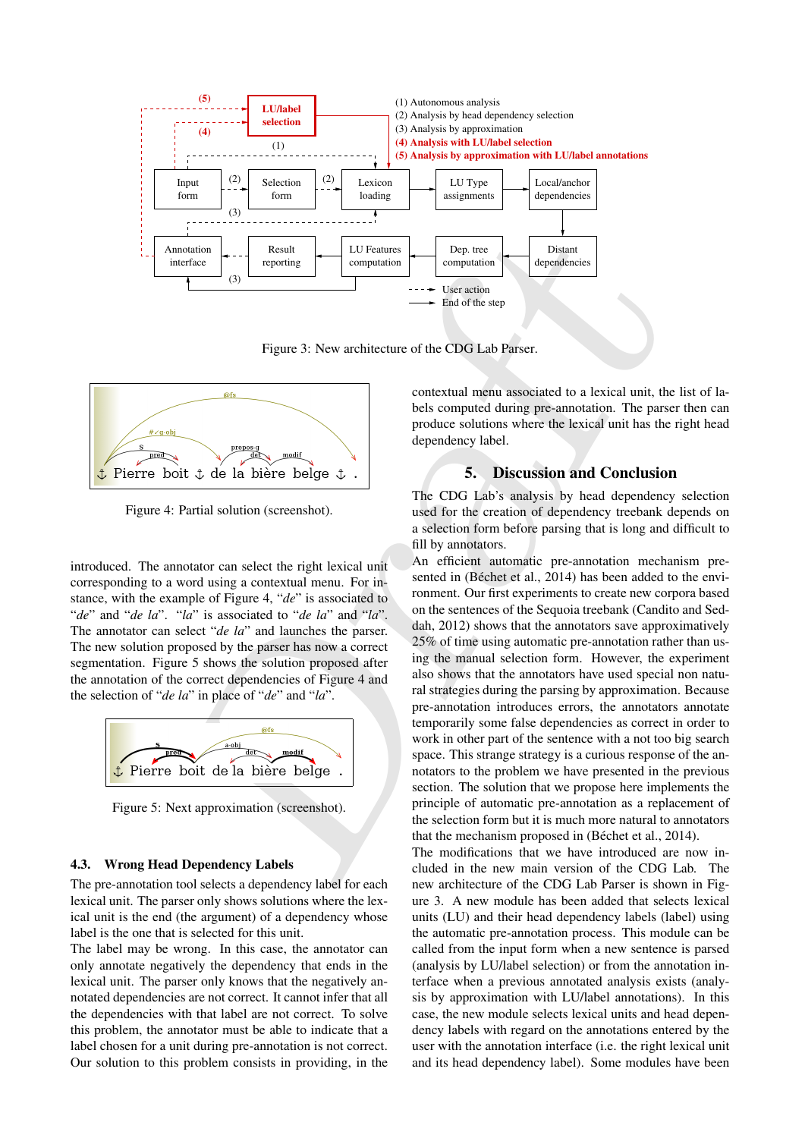

Figure 3: New architecture of the CDG Lab Parser.



Figure 4: Partial solution (screenshot).

introduced. The annotator can select the right lexical unit corresponding to a word using a contextual menu. For instance, with the example of Figure 4, "*de*" is associated to "*de*" and "*de la*". "*la*" is associated to "*de la*" and "*la*". The annotator can select "*de la*" and launches the parser. The new solution proposed by the parser has now a correct segmentation. Figure 5 shows the solution proposed after the annotation of the correct dependencies of Figure 4 and the selection of "*de la*" in place of "*de*" and "*la*".



Figure 5: Next approximation (screenshot).

# 4.3. Wrong Head Dependency Labels

The pre-annotation tool selects a dependency label for each lexical unit. The parser only shows solutions where the lexical unit is the end (the argument) of a dependency whose label is the one that is selected for this unit.

The label may be wrong. In this case, the annotator can only annotate negatively the dependency that ends in the lexical unit. The parser only knows that the negatively annotated dependencies are not correct. It cannot infer that all the dependencies with that label are not correct. To solve this problem, the annotator must be able to indicate that a label chosen for a unit during pre-annotation is not correct. Our solution to this problem consists in providing, in the contextual menu associated to a lexical unit, the list of labels computed during pre-annotation. The parser then can produce solutions where the lexical unit has the right head dependency label.

## 5. Discussion and Conclusion

The CDG Lab's analysis by head dependency selection used for the creation of dependency treebank depends on a selection form before parsing that is long and difficult to fill by annotators.

Draft An efficient automatic pre-annotation mechanism presented in (Béchet et al., 2014) has been added to the environment. Our first experiments to create new corpora based on the sentences of the Sequoia treebank (Candito and Seddah, 2012) shows that the annotators save approximatively 25% of time using automatic pre-annotation rather than using the manual selection form. However, the experiment also shows that the annotators have used special non natural strategies during the parsing by approximation. Because pre-annotation introduces errors, the annotators annotate temporarily some false dependencies as correct in order to work in other part of the sentence with a not too big search space. This strange strategy is a curious response of the annotators to the problem we have presented in the previous section. The solution that we propose here implements the principle of automatic pre-annotation as a replacement of the selection form but it is much more natural to annotators that the mechanism proposed in (Béchet et al., 2014).

The modifications that we have introduced are now included in the new main version of the CDG Lab. The new architecture of the CDG Lab Parser is shown in Figure 3. A new module has been added that selects lexical units (LU) and their head dependency labels (label) using the automatic pre-annotation process. This module can be called from the input form when a new sentence is parsed (analysis by LU/label selection) or from the annotation interface when a previous annotated analysis exists (analysis by approximation with LU/label annotations). In this case, the new module selects lexical units and head dependency labels with regard on the annotations entered by the user with the annotation interface (i.e. the right lexical unit and its head dependency label). Some modules have been